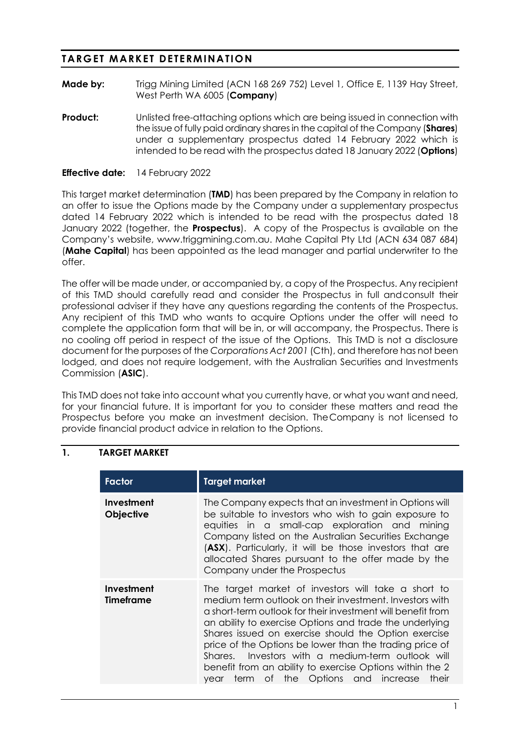# **TARGET MARKET DETERMINATION**

- **Made by:** Trigg Mining Limited (ACN 168 269 752) Level 1, Office E, 1139 Hay Street, West Perth WA 6005 (**Company**)
- **Product:** Unlisted free-attaching options which are being issued in connection with the issue of fully paid ordinary shares in the capital of the Company (**Shares**) under a supplementary prospectus dated 14 February 2022 which is intended to be read with the prospectus dated 18 January 2022 (**Options**)

#### **Effective date:** 14 February 2022

This target market determination (**TMD**) has been prepared by the Company in relation to an offer to issue the Options made by the Company under a supplementary prospectus dated 14 February 2022 which is intended to be read with the prospectus dated 18 January 2022 (together, the **Prospectus**). A copy of the Prospectus is available on the Company's website, www.triggmining.com.au. Mahe Capital Pty Ltd (ACN 634 087 684) (**Mahe Capital**) has been appointed as the lead manager and partial underwriter to the offer.

The offer will be made under, or accompanied by, a copy of the Prospectus. Any recipient of this TMD should carefully read and consider the Prospectus in full andconsult their professional adviser if they have any questions regarding the contents of the Prospectus. Any recipient of this TMD who wants to acquire Options under the offer will need to complete the application form that will be in, or will accompany, the Prospectus. There is no cooling off period in respect of the issue of the Options. This TMD is not a disclosure document for the purposes of the *Corporations Act 2001* (Cth), and therefore has not been lodged, and does not require lodgement, with the Australian Securities and Investments Commission (**ASIC**).

This TMD does not take into account what you currently have, or what you want and need, for your financial future. It is important for you to consider these matters and read the Prospectus before you make an investment decision. TheCompany is not licensed to provide financial product advice in relation to the Options.

#### **1. TARGET MARKET**

| <b>Factor</b>                  | <b>Target market</b>                                                                                                                                                                                                                                                                                                                                                                                                                                                                                                                 |  |  |  |  |  |
|--------------------------------|--------------------------------------------------------------------------------------------------------------------------------------------------------------------------------------------------------------------------------------------------------------------------------------------------------------------------------------------------------------------------------------------------------------------------------------------------------------------------------------------------------------------------------------|--|--|--|--|--|
| Investment<br><b>Objective</b> | The Company expects that an investment in Options will<br>be suitable to investors who wish to gain exposure to<br>equities in a small-cap exploration and mining<br>Company listed on the Australian Securities Exchange<br>(ASX). Particularly, it will be those investors that are<br>allocated Shares pursuant to the offer made by the<br>Company under the Prospectus                                                                                                                                                          |  |  |  |  |  |
| Investment<br>Timeframe        | The target market of investors will take a short to<br>medium term outlook on their investment. Investors with<br>a short-term outlook for their investment will benefit from<br>an ability to exercise Options and trade the underlying<br>Shares issued on exercise should the Option exercise<br>price of the Options be lower than the trading price of<br>Shares. Investors with a medium-term outlook will<br>benefit from an ability to exercise Options within the 2<br>of the Options and increase<br>their<br>term<br>vear |  |  |  |  |  |

1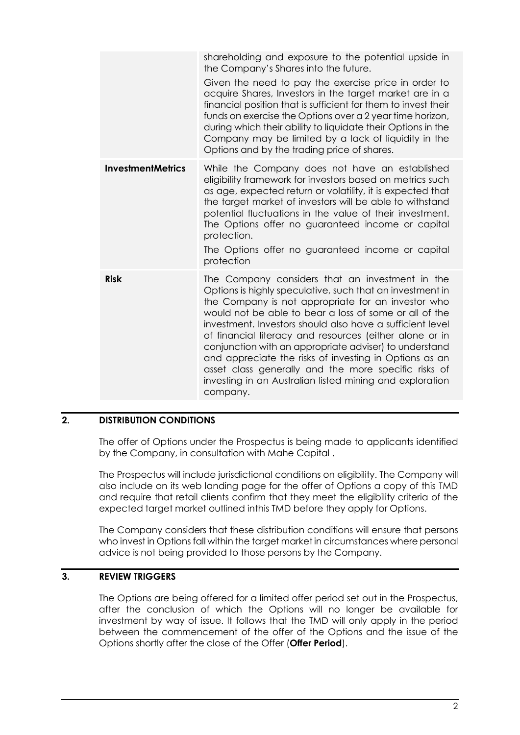|                          | shareholding and exposure to the potential upside in<br>the Company's Shares into the future.<br>Given the need to pay the exercise price in order to<br>acquire Shares, Investors in the target market are in a<br>financial position that is sufficient for them to invest their<br>funds on exercise the Options over a 2 year time horizon,<br>during which their ability to liquidate their Options in the<br>Company may be limited by a lack of liquidity in the<br>Options and by the trading price of shares.                                                                                   |
|--------------------------|----------------------------------------------------------------------------------------------------------------------------------------------------------------------------------------------------------------------------------------------------------------------------------------------------------------------------------------------------------------------------------------------------------------------------------------------------------------------------------------------------------------------------------------------------------------------------------------------------------|
| <b>InvestmentMetrics</b> | While the Company does not have an established<br>eligibility framework for investors based on metrics such<br>as age, expected return or volatility, it is expected that<br>the target market of investors will be able to withstand<br>potential fluctuations in the value of their investment.<br>The Options offer no guaranteed income or capital<br>protection.<br>The Options offer no guaranteed income or capital<br>protection                                                                                                                                                                 |
| <b>Risk</b>              | The Company considers that an investment in the<br>Options is highly speculative, such that an investment in<br>the Company is not appropriate for an investor who<br>would not be able to bear a loss of some or all of the<br>investment. Investors should also have a sufficient level<br>of financial literacy and resources (either alone or in<br>conjunction with an appropriate adviser) to understand<br>and appreciate the risks of investing in Options as an<br>asset class generally and the more specific risks of<br>investing in an Australian listed mining and exploration<br>company. |

### **2. DISTRIBUTION CONDITIONS**

The offer of Options under the Prospectus is being made to applicants identified by the Company, in consultation with Mahe Capital .

The Prospectus will include jurisdictional conditions on eligibility. The Company will also include on its web landing page for the offer of Options a copy of this TMD and require that retail clients confirm that they meet the eligibility criteria of the expected target market outlined inthis TMD before they apply for Options.

The Company considers that these distribution conditions will ensure that persons who invest in Options fall within the target market in circumstances where personal advice is not being provided to those persons by the Company.

#### **3. REVIEW TRIGGERS**

The Options are being offered for a limited offer period set out in the Prospectus, after the conclusion of which the Options will no longer be available for investment by way of issue. It follows that the TMD will only apply in the period between the commencement of the offer of the Options and the issue of the Options shortly after the close of the Offer (**Offer Period**).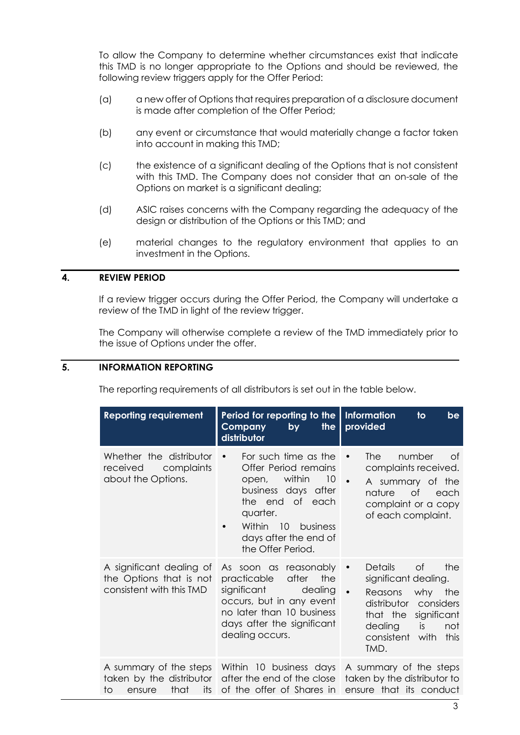To allow the Company to determine whether circumstances exist that indicate this TMD is no longer appropriate to the Options and should be reviewed, the following review triggers apply for the Offer Period:

- (a) a new offer of Options that requires preparation of a disclosure document is made after completion of the Offer Period;
- (b) any event or circumstance that would materially change a factor taken into account in making this TMD;
- (c) the existence of a significant dealing of the Options that is not consistent with this TMD. The Company does not consider that an on-sale of the Options on market is a significant dealing;
- (d) ASIC raises concerns with the Company regarding the adequacy of the design or distribution of the Options or this TMD; and
- (e) material changes to the regulatory environment that applies to an investment in the Options.

#### **4. REVIEW PERIOD**

If a review trigger occurs during the Offer Period, the Company will undertake a review of the TMD in light of the review trigger.

The Company will otherwise complete a review of the TMD immediately prior to the issue of Options under the offer.

### **5. INFORMATION REPORTING**

The reporting requirements of all distributors is set out in the table below.

| <b>Reporting requirement</b>                                                    | Period for reporting to the<br>the<br>Company<br>by<br>distributor                                                                                                                                              | <b>Information</b><br>to<br>be<br>provided                                                                                                                                                                      |
|---------------------------------------------------------------------------------|-----------------------------------------------------------------------------------------------------------------------------------------------------------------------------------------------------------------|-----------------------------------------------------------------------------------------------------------------------------------------------------------------------------------------------------------------|
| Whether the distributor<br>received<br>complaints<br>about the Options.         | For such time as the<br>$\bullet$<br>Offer Period remains<br>within<br>10<br>open,<br>business days after<br>the end of each<br>quarter.<br>Within 10<br>business<br>days after the end of<br>the Offer Period. | <b>The</b><br>number<br>of<br>$\bullet$<br>complaints received.<br>$\bullet$<br>A summary of the<br>nature<br>0f<br>each<br>complaint or a copy<br>of each complaint.                                           |
| A significant dealing of<br>the Options that is not<br>consistent with this TMD | As soon as reasonably<br>after<br>the<br>practicable<br>significant<br>dealing<br>occurs, but in any event<br>no later than 10 business<br>days after the significant<br>dealing occurs.                        | 0f<br><b>Details</b><br>the<br>$\bullet$<br>significant dealing.<br>$\bullet$<br>Reasons why the<br>distributor considers<br>that the<br>significant<br>dealing<br>is<br>not<br>consistent with<br>this<br>TMD. |
| its<br>that<br>to<br>ensure                                                     | A summary of the steps Within 10 business days<br>taken by the distributor after the end of the close<br>of the offer of Shares in                                                                              | A summary of the steps<br>taken by the distributor to<br>ensure that its conduct                                                                                                                                |